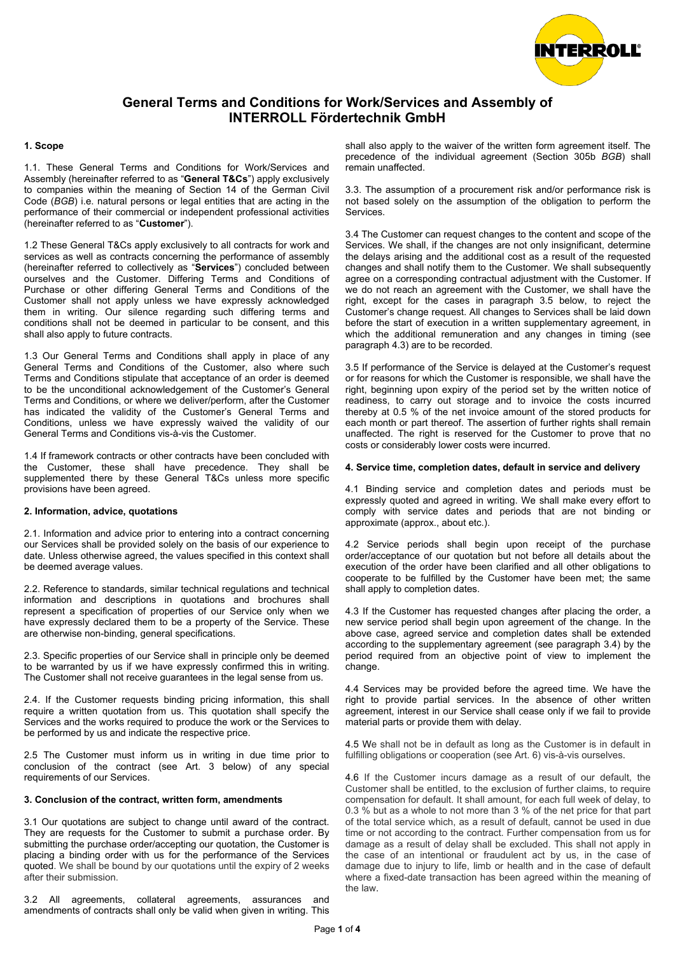

## **1. Scope**

1.1. These General Terms and Conditions for Work/Services and Assembly (hereinafter referred to as "**General T&Cs**") apply exclusively to companies within the meaning of Section 14 of the German Civil Code (*BGB*) i.e. natural persons or legal entities that are acting in the performance of their commercial or independent professional activities (hereinafter referred to as "**Customer**").

1.2 These General T&Cs apply exclusively to all contracts for work and services as well as contracts concerning the performance of assembly (hereinafter referred to collectively as "**Services**") concluded between ourselves and the Customer. Differing Terms and Conditions of Purchase or other differing General Terms and Conditions of the Customer shall not apply unless we have expressly acknowledged them in writing. Our silence regarding such differing terms and conditions shall not be deemed in particular to be consent, and this shall also apply to future contracts.

1.3 Our General Terms and Conditions shall apply in place of any General Terms and Conditions of the Customer, also where such Terms and Conditions stipulate that acceptance of an order is deemed to be the unconditional acknowledgement of the Customer's General Terms and Conditions, or where we deliver/perform, after the Customer has indicated the validity of the Customer's General Terms and Conditions, unless we have expressly waived the validity of our General Terms and Conditions vis-à-vis the Customer.

1.4 If framework contracts or other contracts have been concluded with the Customer, these shall have precedence. They shall be supplemented there by these General T&Cs unless more specific provisions have been agreed.

#### **2. Information, advice, quotations**

2.1. Information and advice prior to entering into a contract concerning our Services shall be provided solely on the basis of our experience to date. Unless otherwise agreed, the values specified in this context shall be deemed average values.

2.2. Reference to standards, similar technical regulations and technical information and descriptions in quotations and brochures shall represent a specification of properties of our Service only when we have expressly declared them to be a property of the Service. These are otherwise non-binding, general specifications.

2.3. Specific properties of our Service shall in principle only be deemed to be warranted by us if we have expressly confirmed this in writing. The Customer shall not receive guarantees in the legal sense from us.

2.4. If the Customer requests binding pricing information, this shall require a written quotation from us. This quotation shall specify the Services and the works required to produce the work or the Services to be performed by us and indicate the respective price.

2.5 The Customer must inform us in writing in due time prior to conclusion of the contract (see Art. 3 below) of any special requirements of our Services.

# **3. Conclusion of the contract, written form, amendments**

3.1 Our quotations are subject to change until award of the contract. They are requests for the Customer to submit a purchase order. By submitting the purchase order/accepting our quotation, the Customer is placing a binding order with us for the performance of the Services quoted. We shall be bound by our quotations until the expiry of 2 weeks after their submission.

3.2 All agreements, collateral agreements, assurances and amendments of contracts shall only be valid when given in writing. This shall also apply to the waiver of the written form agreement itself. The precedence of the individual agreement (Section 305b *BGB*) shall remain unaffected.

3.3. The assumption of a procurement risk and/or performance risk is not based solely on the assumption of the obligation to perform the Services.

3.4 The Customer can request changes to the content and scope of the Services. We shall, if the changes are not only insignificant, determine the delays arising and the additional cost as a result of the requested changes and shall notify them to the Customer. We shall subsequently agree on a corresponding contractual adjustment with the Customer. If we do not reach an agreement with the Customer, we shall have the right, except for the cases in paragraph 3.5 below, to reject the Customer's change request. All changes to Services shall be laid down before the start of execution in a written supplementary agreement, in which the additional remuneration and any changes in timing (see paragraph 4.3) are to be recorded.

3.5 If performance of the Service is delayed at the Customer's request or for reasons for which the Customer is responsible, we shall have the right, beginning upon expiry of the period set by the written notice of readiness, to carry out storage and to invoice the costs incurred thereby at 0.5 % of the net invoice amount of the stored products for each month or part thereof. The assertion of further rights shall remain unaffected. The right is reserved for the Customer to prove that no costs or considerably lower costs were incurred.

#### **4. Service time, completion dates, default in service and delivery**

4.1 Binding service and completion dates and periods must be expressly quoted and agreed in writing. We shall make every effort to comply with service dates and periods that are not binding or approximate (approx., about etc.).

4.2 Service periods shall begin upon receipt of the purchase order/acceptance of our quotation but not before all details about the execution of the order have been clarified and all other obligations to cooperate to be fulfilled by the Customer have been met; the same shall apply to completion dates.

4.3 If the Customer has requested changes after placing the order, a new service period shall begin upon agreement of the change. In the above case, agreed service and completion dates shall be extended according to the supplementary agreement (see paragraph 3.4) by the period required from an objective point of view to implement the change.

4.4 Services may be provided before the agreed time. We have the right to provide partial services. In the absence of other written agreement, interest in our Service shall cease only if we fail to provide material parts or provide them with delay.

4.5 We shall not be in default as long as the Customer is in default in fulfilling obligations or cooperation (see Art. 6) vis-à-vis ourselves.

4.6 If the Customer incurs damage as a result of our default, the Customer shall be entitled, to the exclusion of further claims, to require compensation for default. It shall amount, for each full week of delay, to 0.3 % but as a whole to not more than 3 % of the net price for that part of the total service which, as a result of default, cannot be used in due time or not according to the contract. Further compensation from us for damage as a result of delay shall be excluded. This shall not apply in the case of an intentional or fraudulent act by us, in the case of damage due to injury to life, limb or health and in the case of default where a fixed-date transaction has been agreed within the meaning of the law.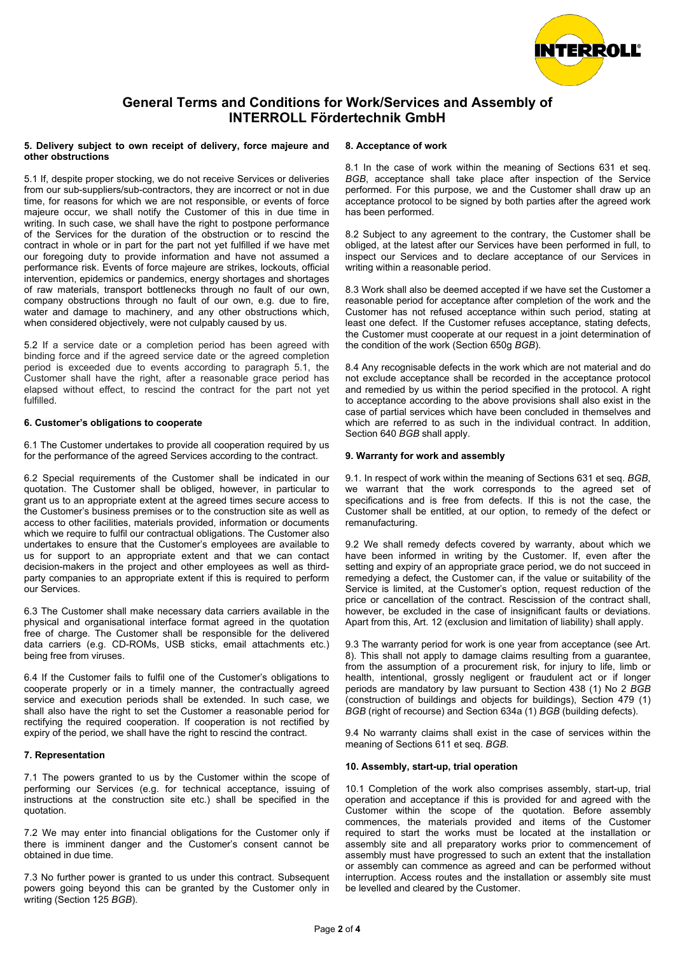

#### **5. Delivery subject to own receipt of delivery, force majeure and other obstructions**

5.1 If, despite proper stocking, we do not receive Services or deliveries from our sub-suppliers/sub-contractors, they are incorrect or not in due time, for reasons for which we are not responsible, or events of force majeure occur, we shall notify the Customer of this in due time in writing. In such case, we shall have the right to postpone performance of the Services for the duration of the obstruction or to rescind the contract in whole or in part for the part not yet fulfilled if we have met our foregoing duty to provide information and have not assumed a performance risk. Events of force majeure are strikes, lockouts, official intervention, epidemics or pandemics, energy shortages and shortages of raw materials, transport bottlenecks through no fault of our own, company obstructions through no fault of our own, e.g. due to fire, water and damage to machinery, and any other obstructions which, when considered objectively, were not culpably caused by us.

5.2 If a service date or a completion period has been agreed with binding force and if the agreed service date or the agreed completion period is exceeded due to events according to paragraph 5.1, the Customer shall have the right, after a reasonable grace period has elapsed without effect, to rescind the contract for the part not yet fulfilled.

## **6. Customer's obligations to cooperate**

6.1 The Customer undertakes to provide all cooperation required by us for the performance of the agreed Services according to the contract.

6.2 Special requirements of the Customer shall be indicated in our quotation. The Customer shall be obliged, however, in particular to grant us to an appropriate extent at the agreed times secure access to the Customer's business premises or to the construction site as well as access to other facilities, materials provided, information or documents which we require to fulfil our contractual obligations. The Customer also undertakes to ensure that the Customer's employees are available to us for support to an appropriate extent and that we can contact decision-makers in the project and other employees as well as thirdparty companies to an appropriate extent if this is required to perform our Services.

6.3 The Customer shall make necessary data carriers available in the physical and organisational interface format agreed in the quotation free of charge. The Customer shall be responsible for the delivered data carriers (e.g. CD-ROMs, USB sticks, email attachments etc.) being free from viruses.

6.4 If the Customer fails to fulfil one of the Customer's obligations to cooperate properly or in a timely manner, the contractually agreed service and execution periods shall be extended. In such case, we shall also have the right to set the Customer a reasonable period for rectifying the required cooperation. If cooperation is not rectified by expiry of the period, we shall have the right to rescind the contract.

## **7. Representation**

7.1 The powers granted to us by the Customer within the scope of performing our Services (e.g. for technical acceptance, issuing of instructions at the construction site etc.) shall be specified in the quotation.

7.2 We may enter into financial obligations for the Customer only if there is imminent danger and the Customer's consent cannot be obtained in due time.

7.3 No further power is granted to us under this contract. Subsequent powers going beyond this can be granted by the Customer only in writing (Section 125 *BGB*).

## **8. Acceptance of work**

8.1 In the case of work within the meaning of Sections 631 et seq. *BGB*, acceptance shall take place after inspection of the Service performed. For this purpose, we and the Customer shall draw up an acceptance protocol to be signed by both parties after the agreed work has been performed.

8.2 Subject to any agreement to the contrary, the Customer shall be obliged, at the latest after our Services have been performed in full, to inspect our Services and to declare acceptance of our Services in writing within a reasonable period.

8.3 Work shall also be deemed accepted if we have set the Customer a reasonable period for acceptance after completion of the work and the Customer has not refused acceptance within such period, stating at least one defect. If the Customer refuses acceptance, stating defects, the Customer must cooperate at our request in a joint determination of the condition of the work (Section 650g *BGB*).

8.4 Any recognisable defects in the work which are not material and do not exclude acceptance shall be recorded in the acceptance protocol and remedied by us within the period specified in the protocol. A right to acceptance according to the above provisions shall also exist in the case of partial services which have been concluded in themselves and which are referred to as such in the individual contract. In addition, Section 640 *BGB* shall apply.

## **9. Warranty for work and assembly**

9.1. In respect of work within the meaning of Sections 631 et seq. *BGB*, we warrant that the work corresponds to the agreed set of specifications and is free from defects. If this is not the case, the Customer shall be entitled, at our option, to remedy of the defect or remanufacturing.

9.2 We shall remedy defects covered by warranty, about which we have been informed in writing by the Customer. If, even after the setting and expiry of an appropriate grace period, we do not succeed in remedying a defect, the Customer can, if the value or suitability of the Service is limited, at the Customer's option, request reduction of the price or cancellation of the contract. Rescission of the contract shall, however, be excluded in the case of insignificant faults or deviations. Apart from this, Art. 12 (exclusion and limitation of liability) shall apply.

9.3 The warranty period for work is one year from acceptance (see Art. 8). This shall not apply to damage claims resulting from a guarantee, from the assumption of a procurement risk, for injury to life, limb or health, intentional, grossly negligent or fraudulent act or if longer periods are mandatory by law pursuant to Section 438 (1) No 2 *BGB* (construction of buildings and objects for buildings), Section 479 (1) *BGB* (right of recourse) and Section 634a (1) *BGB* (building defects).

9.4 No warranty claims shall exist in the case of services within the meaning of Sections 611 et seq. *BGB*.

## **10. Assembly, start-up, trial operation**

10.1 Completion of the work also comprises assembly, start-up, trial operation and acceptance if this is provided for and agreed with the Customer within the scope of the quotation. Before assembly commences, the materials provided and items of the Customer required to start the works must be located at the installation or assembly site and all preparatory works prior to commencement of assembly must have progressed to such an extent that the installation or assembly can commence as agreed and can be performed without interruption. Access routes and the installation or assembly site must be levelled and cleared by the Customer.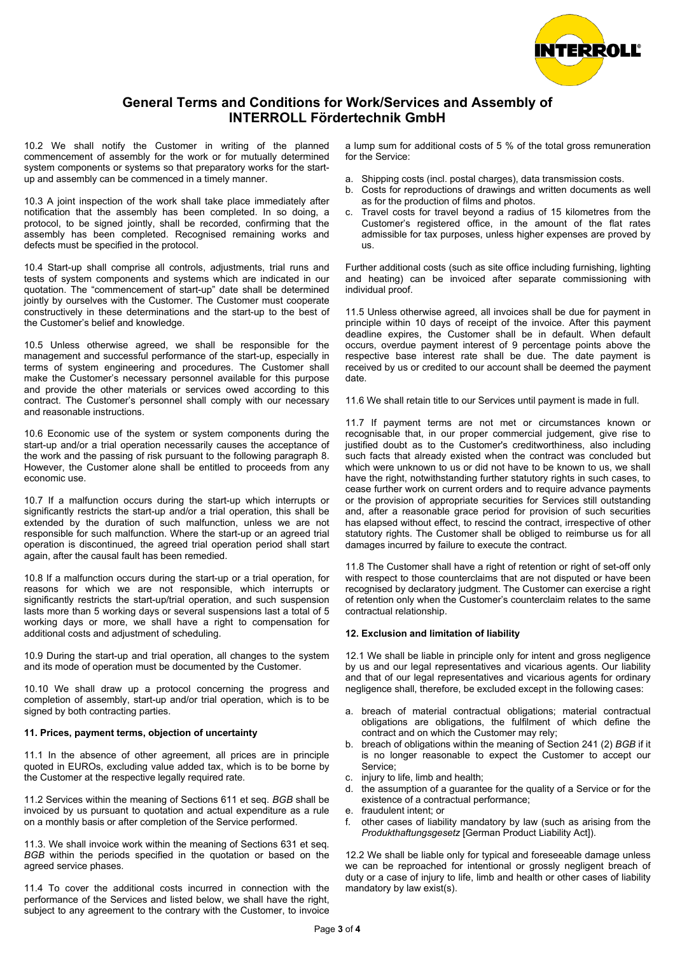

10.2 We shall notify the Customer in writing of the planned commencement of assembly for the work or for mutually determined system components or systems so that preparatory works for the startup and assembly can be commenced in a timely manner.

10.3 A joint inspection of the work shall take place immediately after notification that the assembly has been completed. In so doing, a protocol, to be signed jointly, shall be recorded, confirming that the assembly has been completed. Recognised remaining works and defects must be specified in the protocol.

10.4 Start-up shall comprise all controls, adjustments, trial runs and tests of system components and systems which are indicated in our quotation. The "commencement of start-up" date shall be determined jointly by ourselves with the Customer. The Customer must cooperate constructively in these determinations and the start-up to the best of the Customer's belief and knowledge.

10.5 Unless otherwise agreed, we shall be responsible for the management and successful performance of the start-up, especially in terms of system engineering and procedures. The Customer shall make the Customer's necessary personnel available for this purpose and provide the other materials or services owed according to this contract. The Customer's personnel shall comply with our necessary and reasonable instructions.

10.6 Economic use of the system or system components during the start-up and/or a trial operation necessarily causes the acceptance of the work and the passing of risk pursuant to the following paragraph 8. However, the Customer alone shall be entitled to proceeds from any economic use.

10.7 If a malfunction occurs during the start-up which interrupts or significantly restricts the start-up and/or a trial operation, this shall be extended by the duration of such malfunction, unless we are not responsible for such malfunction. Where the start-up or an agreed trial operation is discontinued, the agreed trial operation period shall start again, after the causal fault has been remedied.

10.8 If a malfunction occurs during the start-up or a trial operation, for reasons for which we are not responsible, which interrupts or significantly restricts the start-up/trial operation, and such suspension lasts more than 5 working days or several suspensions last a total of 5 working days or more, we shall have a right to compensation for additional costs and adjustment of scheduling.

10.9 During the start-up and trial operation, all changes to the system and its mode of operation must be documented by the Customer.

10.10 We shall draw up a protocol concerning the progress and completion of assembly, start-up and/or trial operation, which is to be signed by both contracting parties.

## **11. Prices, payment terms, objection of uncertainty**

11.1 In the absence of other agreement, all prices are in principle quoted in EUROs, excluding value added tax, which is to be borne by the Customer at the respective legally required rate.

11.2 Services within the meaning of Sections 611 et seq. *BGB* shall be invoiced by us pursuant to quotation and actual expenditure as a rule on a monthly basis or after completion of the Service performed.

11.3. We shall invoice work within the meaning of Sections 631 et seq. *BGB* within the periods specified in the quotation or based on the agreed service phases.

11.4 To cover the additional costs incurred in connection with the performance of the Services and listed below, we shall have the right, subject to any agreement to the contrary with the Customer, to invoice a lump sum for additional costs of 5 % of the total gross remuneration for the Service:

- a. Shipping costs (incl. postal charges), data transmission costs.
- b. Costs for reproductions of drawings and written documents as well as for the production of films and photos.
- Travel costs for travel beyond a radius of 15 kilometres from the Customer's registered office, in the amount of the flat rates admissible for tax purposes, unless higher expenses are proved by us.

Further additional costs (such as site office including furnishing, lighting and heating) can be invoiced after separate commissioning with individual proof.

11.5 Unless otherwise agreed, all invoices shall be due for payment in principle within 10 days of receipt of the invoice. After this payment deadline expires, the Customer shall be in default. When default occurs, overdue payment interest of 9 percentage points above the respective base interest rate shall be due. The date payment is received by us or credited to our account shall be deemed the payment date.

11.6 We shall retain title to our Services until payment is made in full.

11.7 If payment terms are not met or circumstances known or recognisable that, in our proper commercial judgement, give rise to justified doubt as to the Customer's creditworthiness, also including such facts that already existed when the contract was concluded but which were unknown to us or did not have to be known to us, we shall have the right, notwithstanding further statutory rights in such cases, to cease further work on current orders and to require advance payments or the provision of appropriate securities for Services still outstanding and, after a reasonable grace period for provision of such securities has elapsed without effect, to rescind the contract, irrespective of other statutory rights. The Customer shall be obliged to reimburse us for all damages incurred by failure to execute the contract.

11.8 The Customer shall have a right of retention or right of set-off only with respect to those counterclaims that are not disputed or have been recognised by declaratory judgment. The Customer can exercise a right of retention only when the Customer's counterclaim relates to the same contractual relationship.

## **12. Exclusion and limitation of liability**

12.1 We shall be liable in principle only for intent and gross negligence by us and our legal representatives and vicarious agents. Our liability and that of our legal representatives and vicarious agents for ordinary negligence shall, therefore, be excluded except in the following cases:

- a. breach of material contractual obligations; material contractual obligations are obligations, the fulfilment of which define the contract and on which the Customer may rely;
- b. breach of obligations within the meaning of Section 241 (2) *BGB* if it is no longer reasonable to expect the Customer to accept our Service;
- c. injury to life, limb and health;
- d. the assumption of a guarantee for the quality of a Service or for the existence of a contractual performance;
- e. fraudulent intent; or
- f. other cases of liability mandatory by law (such as arising from the *Produkthaftungsgesetz* [German Product Liability Act]).

12.2 We shall be liable only for typical and foreseeable damage unless we can be reproached for intentional or grossly negligent breach of duty or a case of injury to life, limb and health or other cases of liability mandatory by law exist(s).